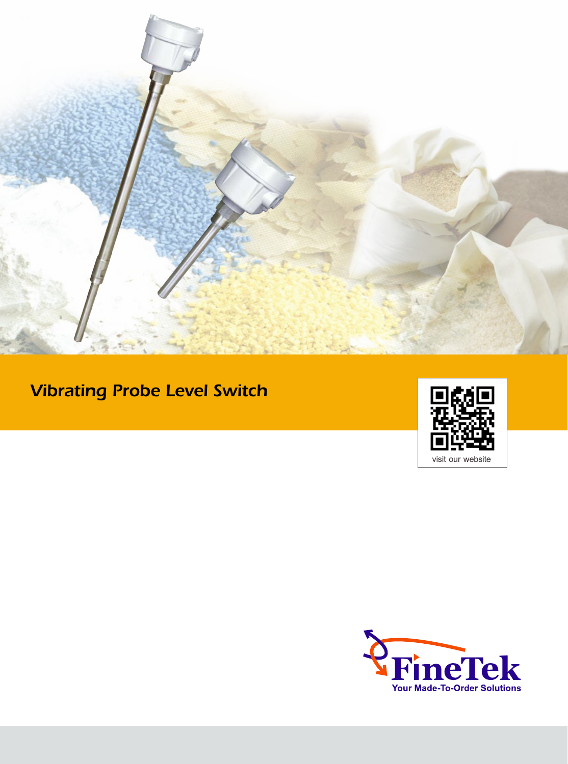

# Vibrating Probe Level Switch



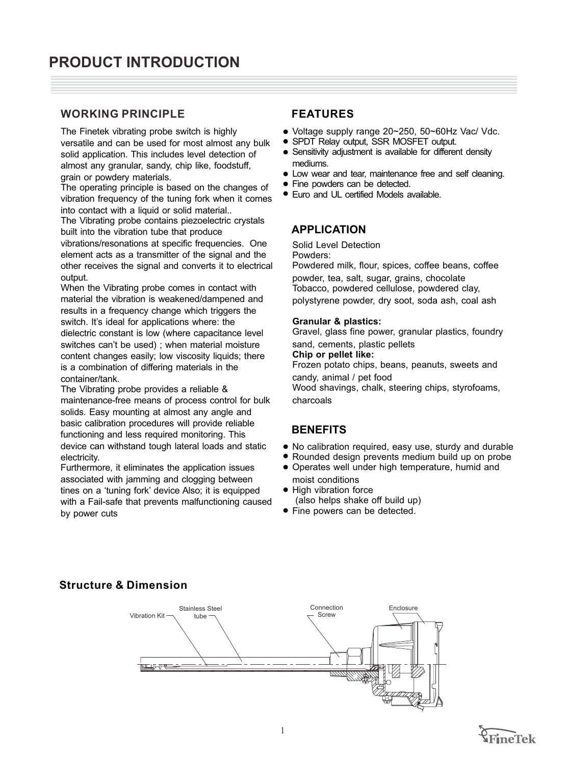# **WORKING PRINCIPLE**

The Finetek vibrating probe switch is highly versatile and can be used for most almost any bulk solid application. This includes level detection of almost any granular, sandy, chip like, foodstuff, grain or powdery materials.

The operating principle is based on the changes of vibration frequency of the tuning fork when it comes into contact with a liquid or solid material..

The Vibrating probe contains piezoelectric crystals built into the vibration tube that produce vibrations/resonations at specific frequencies. One

element acts as a transmitter of the signal and the other receives the signal and converts it to electrical output.

When the Vibrating probe comes in contact with material the vibration is weakened/dampened and results in a frequency change which triggers the switch. It's ideal for applications where: the dielectric constant is low (where capacitance level switches can't be used) ; when material moisture content changes easily; low viscosity liquids; there is a combination of differing materials in the container/tank.

The Vibrating probe provides a reliable & maintenance-free means of process control for bulk solids. Easy mounting at almost any angle and basic calibration procedures will provide reliable functioning and less required monitoring. This device can withstand tough lateral loads and static electricity.

Furthermore, it eliminates the application issues associated with jamming and clogging between tines on a 'tuning fork' device Also; it is equipped with a Fail-safe that prevents malfunctioning caused by power cuts

# **FEATURES**

- Voltage supply range 20~250, 50~60Hz Vac/ Vdc.
- SPDT Relay output, SSR MOSFET output.  $\bullet$
- Sensitivity adjustment is available for different density  $\bullet$ mediums.
- Low wear and tear, maintenance free and self cleaning.  $\bullet$
- $\bullet$ Fine powders can be detected.
- Euro and UL certified Models available.

# **APPLICATION**

Solid Level Detection Powders: Powdered milk, flour, spices, coffee beans, coffee powder, tea, salt, sugar, grains, chocolate Tobacco, powdered cellulose, powdered clay,

polystyrene powder, dry soot, soda ash, coal ash

#### **Granular & plastics:**

Gravel, glass fine power, granular plastics, foundry sand, cements, plastic pellets

#### **Chip or pellet like:**

Frozen potato chips, beans, peanuts, sweets and candy, animal / pet food

Wood shavings, chalk, steering chips, styrofoams, charcoals

### **BENEFITS**

- No calibration required, easy use, sturdy and durable
- Rounded design prevents medium build up on probe
- Operates well under high temperature, humid and moist conditions
- High vibration force  $\bullet$ (also helps shake off build up)
- **•** Fine powers can be detected.

# **Structure & Dimension**



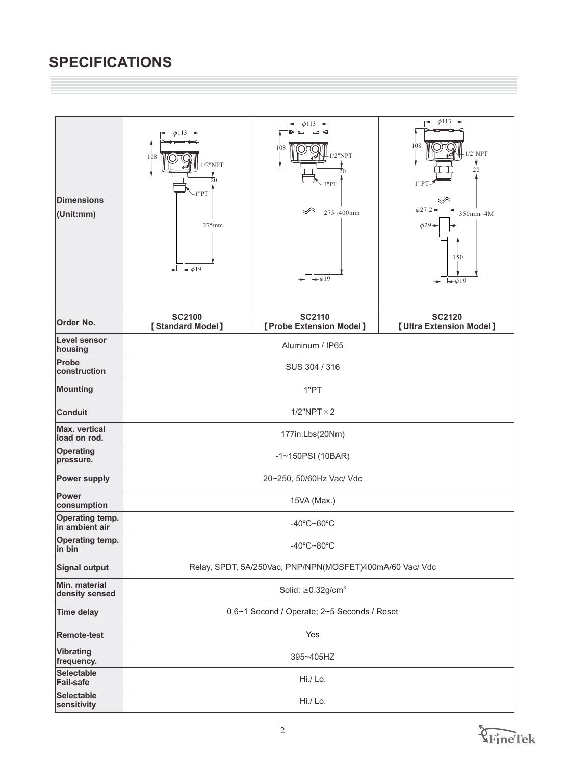# **SPECIFICATIONS**

| <b>Dimensions</b><br>(Unit:mm)        | $\phi$ 113-<br>108<br>$1/2$ "NPT<br>20<br>$-1$ " $PT$<br>275mm<br>$\rightarrow 19$ | $\rightarrow$ $\rightarrow$ 113 $\rightarrow$<br>108<br>$1/2$ "NPT<br>20<br>1"PT<br>275~400mm<br>$\blacktriangleright$ $\blacktriangleright$ $\neq$ 19 | $-\phi$ 113-<br>108<br>$1/2$ "NPT<br>20<br>$1"PT-$<br>$\phi$ 27.2→<br>$350$ mm~4M<br>$\phi$ 29 $\rightarrow$<br>150<br>$\leftarrow$ $\phi$ 19 |
|---------------------------------------|------------------------------------------------------------------------------------|--------------------------------------------------------------------------------------------------------------------------------------------------------|-----------------------------------------------------------------------------------------------------------------------------------------------|
| Order No.                             | <b>SC2100</b><br><b>[Standard Model]</b>                                           | <b>SC2110</b><br><b>[Probe Extension Model]</b>                                                                                                        | <b>SC2120</b><br><b>[Ultra Extension Model]</b>                                                                                               |
| Level sensor<br>housing               | Aluminum / IP65                                                                    |                                                                                                                                                        |                                                                                                                                               |
| Probe<br>construction                 | SUS 304 / 316                                                                      |                                                                                                                                                        |                                                                                                                                               |
| <b>Mounting</b>                       | 1"PT                                                                               |                                                                                                                                                        |                                                                                                                                               |
| <b>Conduit</b>                        | $1/2$ "NPT $\times 2$                                                              |                                                                                                                                                        |                                                                                                                                               |
| Max. vertical<br>load on rod.         | 177in.Lbs(20Nm)                                                                    |                                                                                                                                                        |                                                                                                                                               |
| <b>Operating</b><br>pressure.         | $-1 - 150$ PSI (10BAR)                                                             |                                                                                                                                                        |                                                                                                                                               |
| <b>Power supply</b>                   | 20~250, 50/60Hz Vac/ Vdc                                                           |                                                                                                                                                        |                                                                                                                                               |
| Power<br>consumption                  | 15VA (Max.)                                                                        |                                                                                                                                                        |                                                                                                                                               |
| Operating temp.<br>in ambient air     | -40°C~60°C                                                                         |                                                                                                                                                        |                                                                                                                                               |
| Operating temp.<br>$in$ bin           | -40°C~80°C                                                                         |                                                                                                                                                        |                                                                                                                                               |
| <b>Signal output</b>                  | Relay, SPDT, 5A/250Vac, PNP/NPN(MOSFET)400mA/60 Vac/ Vdc                           |                                                                                                                                                        |                                                                                                                                               |
| Min. material<br>density sensed       | Solid: $\geq$ 0.32g/cm <sup>3</sup>                                                |                                                                                                                                                        |                                                                                                                                               |
| <b>Time delay</b>                     | 0.6~1 Second / Operate; 2~5 Seconds / Reset                                        |                                                                                                                                                        |                                                                                                                                               |
| <b>Remote-test</b>                    | Yes                                                                                |                                                                                                                                                        |                                                                                                                                               |
| <b>Vibrating</b><br>frequency.        | 395~405HZ                                                                          |                                                                                                                                                        |                                                                                                                                               |
| <b>Selectable</b><br><b>Fail-safe</b> | Hi./ Lo.                                                                           |                                                                                                                                                        |                                                                                                                                               |
| <b>Selectable</b><br>sensitivity      | Hi./ Lo.                                                                           |                                                                                                                                                        |                                                                                                                                               |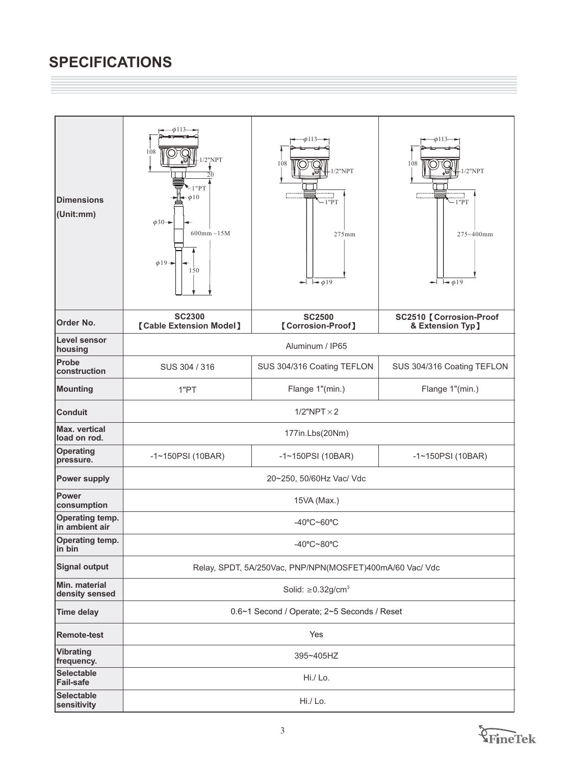# **SPECIFICATIONS**

| <b>Dimensions</b><br>(Unit:mm)           | $-\phi$ 113<br>108<br>$/2$ "NPT<br>20<br>"PT<br>$\triangleleft 0$<br>$\phi$ 30 $\rightarrow$<br>$600$ mm $\sim$ 15M<br>$\phi$ 19+<br>150 | -0113-<br>108<br>$1/2$ "NPT<br>$-1$ "PT<br>$275$ mm<br>$\leftarrow$ $\leftarrow$ $\phi$ 19 | $\phi$ 113<br>108<br>$1/2$ "NPT<br>$-1$ " $PT$<br>275~400mm<br>$\blacktriangleright$ $\blacktriangleright$ $\neq \phi$ 19 |
|------------------------------------------|------------------------------------------------------------------------------------------------------------------------------------------|--------------------------------------------------------------------------------------------|---------------------------------------------------------------------------------------------------------------------------|
| Order No.                                | <b>SC2300</b><br><b>[Cable Extension Model]</b>                                                                                          | <b>SC2500</b><br>[Corrosion-Proof]                                                         | <b>SC2510 [ Corrosion-Proof</b><br>& Extension Typ]                                                                       |
| Level sensor<br>housing                  | Aluminum / IP65                                                                                                                          |                                                                                            |                                                                                                                           |
| Probe<br>construction                    | SUS 304 / 316                                                                                                                            | SUS 304/316 Coating TEFLON                                                                 | SUS 304/316 Coating TEFLON                                                                                                |
| <b>Mounting</b>                          | 1"PT                                                                                                                                     | Flange 1"(min.)                                                                            | Flange 1"(min.)                                                                                                           |
| <b>Conduit</b>                           | $1/2$ "NPT $\times$ 2                                                                                                                    |                                                                                            |                                                                                                                           |
| <b>Max.</b> vertical<br>load on rod.     | 177in.Lbs(20Nm)                                                                                                                          |                                                                                            |                                                                                                                           |
| <b>Operating</b><br>pressure.            | $-1$ ~150PSI (10BAR)                                                                                                                     | $-1$ ~150PSI (10BAR)                                                                       | $-1$ ~150PSI (10BAR)                                                                                                      |
| <b>Power supply</b>                      | 20~250, 50/60Hz Vac/ Vdc                                                                                                                 |                                                                                            |                                                                                                                           |
| <b>Power</b><br>consumption              | 15VA (Max.)                                                                                                                              |                                                                                            |                                                                                                                           |
| <b>Operating temp.</b><br>in ambient air | -40°C~60°C                                                                                                                               |                                                                                            |                                                                                                                           |
| <b>Operating temp.</b><br>in bin         | $-40^{\circ}$ C $-80^{\circ}$ C                                                                                                          |                                                                                            |                                                                                                                           |
| <b>Signal output</b>                     | Relay, SPDT, 5A/250Vac, PNP/NPN(MOSFET)400mA/60 Vac/ Vdc                                                                                 |                                                                                            |                                                                                                                           |
| Min. material<br>density sensed          | Solid: $\geq$ 0.32g/cm <sup>3</sup>                                                                                                      |                                                                                            |                                                                                                                           |
| <b>Time delay</b>                        | 0.6~1 Second / Operate; 2~5 Seconds / Reset                                                                                              |                                                                                            |                                                                                                                           |
| <b>Remote-test</b>                       | Yes                                                                                                                                      |                                                                                            |                                                                                                                           |
| <b>Vibrating</b><br>frequency.           | 395~405HZ                                                                                                                                |                                                                                            |                                                                                                                           |
| <b>Selectable</b><br><b>Fail-safe</b>    | Hi./ Lo.                                                                                                                                 |                                                                                            |                                                                                                                           |
| <b>Selectable</b><br>sensitivity         | Hi./ Lo.                                                                                                                                 |                                                                                            |                                                                                                                           |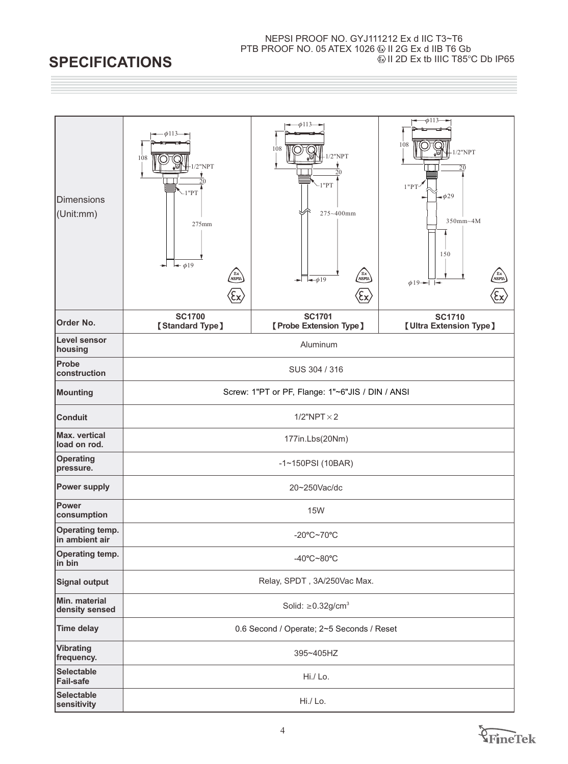#### NEPSI PROOF NO. GYJ111212 Ex d IIC T3~T6 PTB PROOF NO. 05 ATEX 1026 W II 2G Ex d IIB T6 Gb  $\textcircled{\scriptsize{1}}$  II 2D Ex tb IIIC T85 $^\circ$ C Db IP65

# **SPECIFICATIONS**

| Dimensions<br>(Unit:mm)           | -ф113-<br>108<br>$/2$ "NPT<br>20<br>$-1$ " $PT$<br>275mm<br>$\rightarrow \phi$ 19<br><b>Ex</b><br>NEPS\<br>$\xi$ | -ф113—<br>108<br>$/2$ "NPT<br>20<br>$-1$ " $PT$<br>275~400mm<br>(Ex)<br>$\rightarrow$ 019<br>(ξχ) | $-\phi$ 113<br>108<br>$1/2$ "NPT<br>20<br>1"PT'<br>$-\phi$ 29<br>350mm~4M<br>150<br><b>Ex</b><br>NEPSI<br>$\phi$ 19 $ -$<br>Έχ) |
|-----------------------------------|------------------------------------------------------------------------------------------------------------------|---------------------------------------------------------------------------------------------------|---------------------------------------------------------------------------------------------------------------------------------|
| <b>Order No.</b>                  | <b>SC1700</b><br><b>[Standard Type]</b>                                                                          | <b>SC1701</b><br>[Probe Extension Type]                                                           | <b>SC1710</b><br><b>[Ultra Extension Type]</b>                                                                                  |
| Level sensor<br>housing           | Aluminum                                                                                                         |                                                                                                   |                                                                                                                                 |
| Probe<br>construction             | SUS 304 / 316                                                                                                    |                                                                                                   |                                                                                                                                 |
| Mounting                          | Screw: 1"PT or PF, Flange: 1"~6"JIS / DIN / ANSI                                                                 |                                                                                                   |                                                                                                                                 |
| <b>Conduit</b>                    | $1/2$ "NPT $\times$ 2                                                                                            |                                                                                                   |                                                                                                                                 |
| Max. vertical<br>load on rod.     | 177in.Lbs(20Nm)                                                                                                  |                                                                                                   |                                                                                                                                 |
| <b>Operating</b><br>pressure.     | -1~150PSI (10BAR)                                                                                                |                                                                                                   |                                                                                                                                 |
| <b>Power supply</b>               | 20~250Vac/dc                                                                                                     |                                                                                                   |                                                                                                                                 |
| Power<br>consumption              | <b>15W</b>                                                                                                       |                                                                                                   |                                                                                                                                 |
| Operating temp.<br>in ambient air | -20°C~70°C                                                                                                       |                                                                                                   |                                                                                                                                 |
| Operating temp.<br>in bin         | -40°C~80°C                                                                                                       |                                                                                                   |                                                                                                                                 |
| Signal output                     | Relay, SPDT, 3A/250Vac Max.                                                                                      |                                                                                                   |                                                                                                                                 |
| Min. material<br>density sensed   | Solid: $\geq$ 0.32g/cm <sup>3</sup>                                                                              |                                                                                                   |                                                                                                                                 |
| <b>Time delay</b>                 | 0.6 Second / Operate; 2~5 Seconds / Reset                                                                        |                                                                                                   |                                                                                                                                 |
| <b>Vibrating</b><br>frequency.    | 395~405HZ                                                                                                        |                                                                                                   |                                                                                                                                 |
| <b>Selectable</b><br>Fail-safe    | Hi./ Lo.                                                                                                         |                                                                                                   |                                                                                                                                 |
| <b>Selectable</b><br>sensitivity  | Hi./ Lo.                                                                                                         |                                                                                                   |                                                                                                                                 |

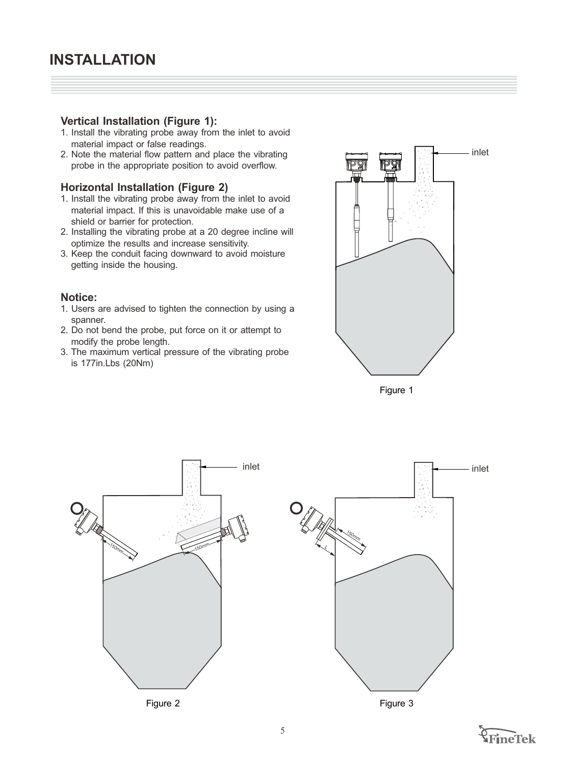## **Vertical Installation (Figure 1):**

- 1. Install the vibrating probe away from the inlet to avoid material impact or false readings.
- 2. Note the material flow pattern and place the vibrating probe in the appropriate position to avoid overflow.

#### **Horizontal Installation (Figure 2)**

- 1. Install the vibrating probe away from the inlet to avoid material impact. If this is unavoidable make use of a shield or barrier for protection.
- 2. Installing the vibrating probe at a 20 degree incline will optimize the results and increase sensitivity.
- 3. Keep the conduit facing downward to avoid moisture getting inside the housing.

#### **Notice:**

- 1. Users are advised to tighten the connection by using a spanner.
- 2. Do not bend the probe, put force on it or attempt to modify the probe length.
- 3. The maximum vertical pressure of the vibrating probe is 177in.Lbs (20Nm)



Figure 1



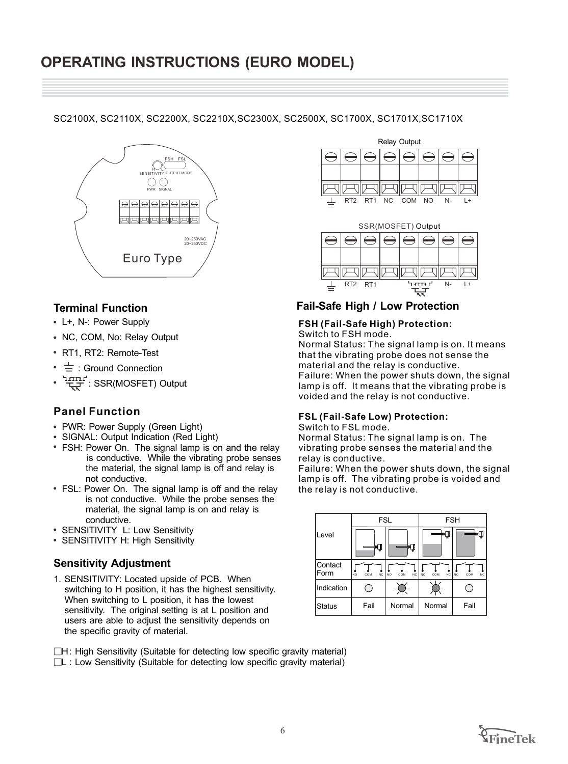#### SC2100X, SC2110X, SC2200X, SC2210X,SC2300X, SC2500X, SC1700X, SC1701X,SC1710X



# **Terminal Function**

- L+, N-: Power Supply
- NC, COM, No: Relay Output
- RT1, RT2: Remote-Test
- $\cdot \doteq$  : Ground Connection
- सम्मान: SSR(MOSFET) Output

# **Panel Function**

- PWR: Power Supply (Green Light)
- SIGNAL: Output Indication (Red Light)
- FSH: Power On. The signal lamp is on and the relay is conductive. While the vibrating probe senses the material, the signal lamp is off and relay is not conductive.
- FSL: Power On. The signal lamp is off and the relay is not conductive. While the probe senses the material, the signal lamp is on and relay is conductive.
- SENSITIVITY L: Low Sensitivity
- SENSITIVITY H: High Sensitivity

# **Sensitivity Adjustment**

1. SENSITIVITY: Located upside of PCB. When switching to H position, it has the highest sensitivity. When switching to L position, it has the lowest sensitivity. The original setting is at L position and users are able to adjust the sensitivity depends on the specific gravity of material.





# **Fail-Safe High / Low Protection**

#### **FSH (Fail-Safe High) Protection:**

Switch to FSH mode.

Normal Status: The signal lamp is on. It means that the vibrating probe does not sense the material and the relay is conductive. Failure: When the power shuts down, the signal lamp is off. It means that the vibrating probe is voided and the relay is not conductive.

#### **FSL (Fail-Safe Low) Protection:**

Switch to FSL mode.

Normal Status: The signal lamp is on. The vibrating probe senses the material and the relay is conductive.

Failure: When the power shuts down, the signal lamp is off. The vibrating probe is voided and the relay is not conductive.



9 H: High Sensitivity (Suitable for detecting low specific gravity material)

9 L : Low Sensitivity (Suitable for detecting low specific gravity material)

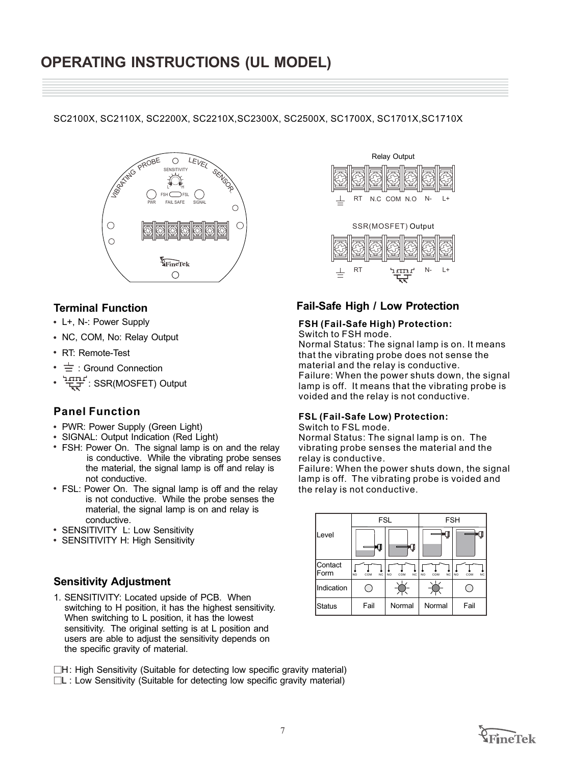SC2100X, SC2110X, SC2200X, SC2210X,SC2300X, SC2500X, SC1700X, SC1701X,SC1710X



# **Terminal Function**

- L+, N-: Power Supply
- NC, COM, No: Relay Output
- RT: Remote-Test
- $\cdot \equiv$  : Ground Connection
- $\overleftrightarrow{\mathbf{H}}$ : SSR(MOSFET) Output

# **Panel Function**

- PWR: Power Supply (Green Light)
- SIGNAL: Output Indication (Red Light)
- FSH: Power On. The signal lamp is on and the relay is conductive. While the vibrating probe senses the material, the signal lamp is off and relay is not conductive.
- FSL: Power On. The signal lamp is off and the relay is not conductive. While the probe senses the material, the signal lamp is on and relay is conductive.
- SENSITIVITY L: Low Sensitivity
- SENSITIVITY H: High Sensitivity

### **Sensitivity Adjustment**

1. SENSITIVITY: Located upside of PCB. When switching to H position, it has the highest sensitivity. When switching to L position, it has the lowest sensitivity. The original setting is at L position and users are able to adjust the sensitivity depends on the specific gravity of material.

9 H: High Sensitivity (Suitable for detecting low specific gravity material) □L : Low Sensitivity (Suitable for detecting low specific gravity material)



# **Fail-Safe High / Low Protection**

#### **FSH (Fail-Safe High) Protection:**

Switch to FSH mode.

Normal Status: The signal lamp is on. It means that the vibrating probe does not sense the material and the relay is conductive. Failure: When the power shuts down, the signal lamp is off. It means that the vibrating probe is voided and the relay is not conductive.

#### **FSL (Fail-Safe Low) Protection:**

Switch to FSL mode.

Normal Status: The signal lamp is on. The vibrating probe senses the material and the relay is conductive.

Failure: When the power shuts down, the signal lamp is off. The vibrating probe is voided and the relay is not conductive.

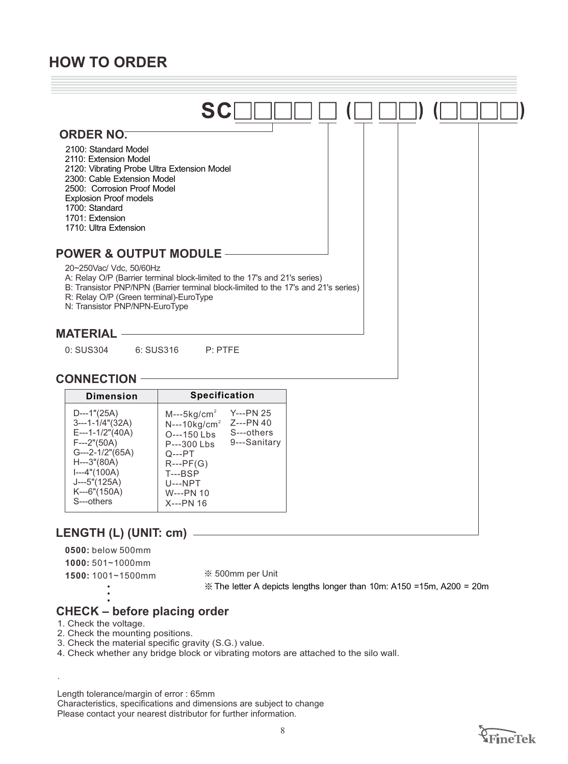# **HOW TO ORDER**



**0500:** below 500mm

**1000:** 501~1000mm

1500: 1001~1500mm  $\frac{1500}{1000}$  \$500mm per Unit

The letter A depicts lengths longer than 10m: A150 =15m, A200 = 20m

# **CHECK – before placing order**

1. Check the voltage.

.

2. Check the mounting positions.

3. Check the material specific gravity (S.G.) value.

4. Check whether any bridge block or vibrating motors are attached to the silo wall.

Length tolerance/margin of error : 65mm

Characteristics, specifications and dimensions are subject to change Please contact your nearest distributor for further information.